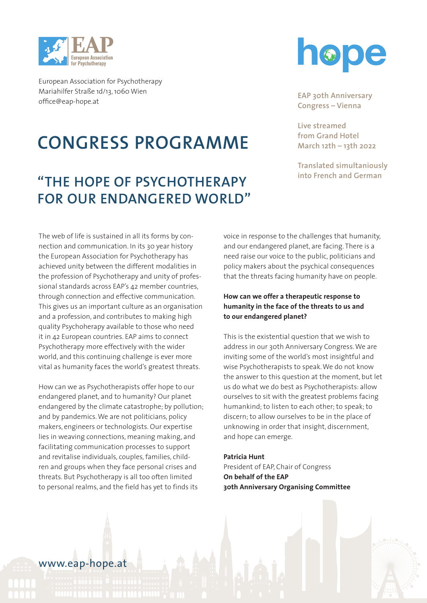

## **CONGRESS PROGRAMME**

## **"THE HOPE OF PSYCHOTHERAPY FOR OUR ENDANGERED WORLD"**

The web of life is sustained in all its forms by connection and communication. In its 30 year history the European Association for Psychotherapy has achieved unity between the different modalities in the profession of Psychotherapy and unity of professional standards across EAP's 42 member countries, through connection and effective communication. This gives us an important culture as an organisation and a profession, and contributes to making high quality Psychoherapy available to those who need it in 42 European countries. EAP aims to connect Psychotherapy more effectively with the wider world, and this continuing challenge is ever more vital as humanity faces the world's greatest threats.

How can we as Psychotherapists offer hope to our endangered planet, and to humanity? Our planet endangered by the climate catastrophe; by pollution; and by pandemics. We are not politicians, policy makers, engineers or technologists. Our expertise lies in weaving connections, meaning making, and facilitating communication processes to support and revitalise individuals, couples, families, children and groups when they face personal crises and threats. But Psychotherapy is all too often limited to personal realms, and the field has yet to finds its



**EAP 30th Anniversary**   $\mathsf{Congress}-\mathsf{Vienna}$ 

Live streamed  **<b>from Grand Hotel March 12th – 13th 2022**

**Translated simultaniously into French and German**

voice in response to the challenges that humanity, and our endangered planet, are facing. There is a need raise our voice to the public, politicians and policy makers about the psychical consequences that the threats facing humanity have on people.

### **How can we offer a therapeutic response to humanity in the face of the threats to us and to our endangered planet?**

This is the existential question that we wish to address in our 30th Anniversary Congress. We are inviting some of the world's most insightful and wise Psychotherapists to speak. We do not know the answer to this question at the moment, but let us do what we do best as Psychotherapists: allow ourselves to sit with the greatest problems facing humankind; to listen to each other; to speak; to discern; to allow ourselves to be in the place of unknowing in order that insight, discernment, and hope can emerge.

### **Patricia Hunt** President of EAP, Chair of Congress **On behalf of the EAP 30th Anniversary Organising Committee**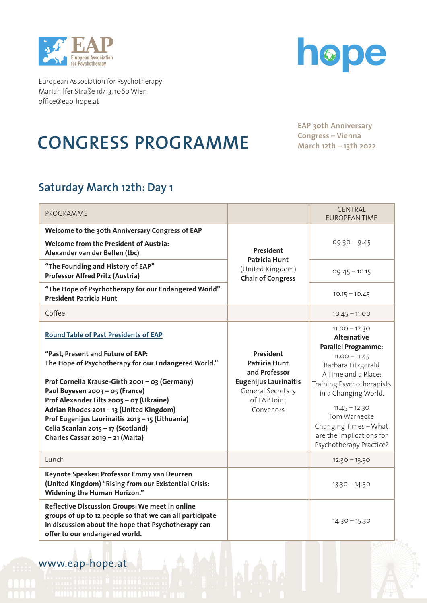



# **CONGRESS PROGRAMME**

EAP 30th Anniversary **March 12th – 13th 2022 Congress – Vienna March 12th – 13th 2022**

## **Saturday March 12th: Day 1**

| PROGRAMME                                                                                                                                                                                            |                                                                                   | CENTRAL<br><b>EUROPEAN TIME</b>                                                                                 |
|------------------------------------------------------------------------------------------------------------------------------------------------------------------------------------------------------|-----------------------------------------------------------------------------------|-----------------------------------------------------------------------------------------------------------------|
| Welcome to the 30th Anniversary Congress of EAP<br><b>Welcome from the President of Austria:</b><br>Alexander van der Bellen (tbc)                                                                   | President<br><b>Patricia Hunt</b><br>(United Kingdom)<br><b>Chair of Congress</b> | $09.30 - 9.45$                                                                                                  |
| "The Founding and History of EAP"<br><b>Professor Alfred Pritz (Austria)</b>                                                                                                                         |                                                                                   | $09.45 - 10.15$                                                                                                 |
| "The Hope of Psychotherapy for our Endangered World"<br><b>President Patricia Hunt</b>                                                                                                               |                                                                                   | $10.15 - 10.45$                                                                                                 |
| Coffee                                                                                                                                                                                               |                                                                                   | $10.45 - 11.00$                                                                                                 |
| <b>Round Table of Past Presidents of EAP</b>                                                                                                                                                         |                                                                                   | $11.00 - 12.30$<br><b>Alternative</b>                                                                           |
| "Past, Present and Future of EAP:<br>The Hope of Psychotherapy for our Endangered World."                                                                                                            | President<br><b>Patricia Hunt</b><br>and Professor                                | <b>Parallel Programme:</b><br>$11.00 - 11.45$<br>Barbara Fitzgerald<br>A Time and a Place:                      |
| Prof Cornelia Krause-Girth 2001 - 03 (Germany)<br>Paul Boyesen 2003 - 05 (France)<br>Prof Alexander Filts 2005 - 07 (Ukraine)                                                                        | <b>Eugenijus Laurinaitis</b><br>General Secretary<br>of EAP Joint                 | Training Psychotherapists<br>in a Changing World.                                                               |
| Adrian Rhodes 2011 - 13 (United Kingdom)<br>Prof Eugenijus Laurinaitis 2013 - 15 (Lithuania)<br>Celia Scanlan 2015 - 17 (Scotland)<br>Charles Cassar 2019 - 21 (Malta)                               | Convenors                                                                         | $11.45 - 12.30$<br>Tom Warnecke<br>Changing Times - What<br>are the Implications for<br>Psychotherapy Practice? |
| Lunch                                                                                                                                                                                                |                                                                                   | $12.30 - 13.30$                                                                                                 |
| Keynote Speaker: Professor Emmy van Deurzen<br>(United Kingdom) "Rising from our Existential Crisis:<br><b>Widening the Human Horizon."</b>                                                          |                                                                                   | $13.30 - 14.30$                                                                                                 |
| Reflective Discussion Groups: We meet in online<br>groups of up to 12 people so that we can all participate<br>in discussion about the hope that Psychotherapy can<br>offer to our endangered world. |                                                                                   | $14.30 - 15.30$                                                                                                 |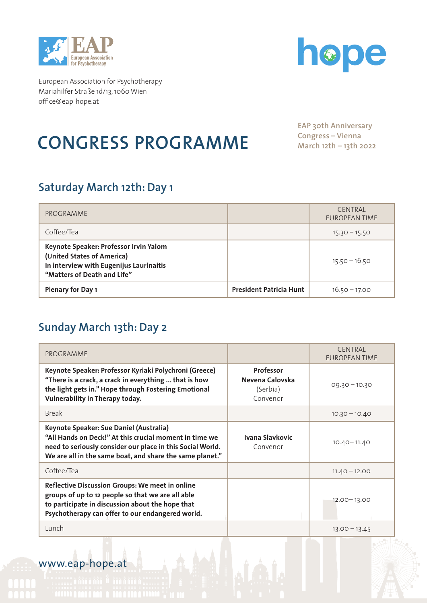



# **CONGRESS PROGRAMME**

**EAP 30th Anniversary Congress – Vienna March 12th – 13th 2022**

## **Saturday March 12th: Day 1**

| PROGRAMME                                                                                                                                      |                                | <b>CENTRAL</b><br>EUROPEAN TIME |
|------------------------------------------------------------------------------------------------------------------------------------------------|--------------------------------|---------------------------------|
| Coffee/Tea                                                                                                                                     |                                | $15.30 - 15.50$                 |
| Keynote Speaker: Professor Irvin Yalom<br>(United States of America)<br>In interview with Eugenijus Laurinaitis<br>"Matters of Death and Life" |                                | $15.50 - 16.50$                 |
| <b>Plenary for Day 1</b>                                                                                                                       | <b>President Patricia Hunt</b> | $16.50 - 17.00$                 |

## **Sunday March 13th: Day 2**

| PROGRAMME                                                                                                                                                                                                                   |                                                             | <b>CENTRAL</b><br><b>EUROPEAN TIME</b> |
|-----------------------------------------------------------------------------------------------------------------------------------------------------------------------------------------------------------------------------|-------------------------------------------------------------|----------------------------------------|
| Keynote Speaker: Professor Kyriaki Polychroni (Greece)<br>"There is a crack, a crack in everything  that is how<br>the light gets in." Hope through Fostering Emotional<br>Vulnerability in Therapy today.                  | <b>Professor</b><br>Nevena Calovska<br>(Serbia)<br>Convenor | $09.30 - 10.30$                        |
| <b>Break</b>                                                                                                                                                                                                                |                                                             | $10.30 - 10.40$                        |
| Keynote Speaker: Sue Daniel (Australia)<br>"All Hands on Deck!" At this crucial moment in time we<br>need to seriously consider our place in this Social World.<br>We are all in the same boat, and share the same planet." | Ivana Slavkovic<br>Convenor                                 | $10.40 - 11.40$                        |
| Coffee/Tea                                                                                                                                                                                                                  |                                                             | $11.40 - 12.00$                        |
| Reflective Discussion Groups: We meet in online<br>groups of up to 12 people so that we are all able<br>to participate in discussion about the hope that<br>Psychotherapy can offer to our endangered world.                |                                                             | $12.00 - 13.00$                        |
| Lunch                                                                                                                                                                                                                       |                                                             | $13.00 - 13.45$                        |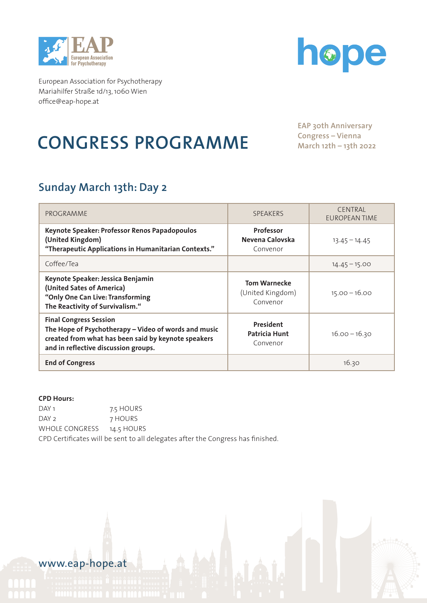



# **CONGRESS PROGRAMME**

**EAP 30th Anniversary Congress – Vienna March 12th – 13th 2022**

## **Sunday March 13th: Day 2**

| PROGRAMME                                                                                                                                                                            | <b>SPEAKERS</b>                                     | <b>CENTRAL</b><br>EUROPEAN TIME |
|--------------------------------------------------------------------------------------------------------------------------------------------------------------------------------------|-----------------------------------------------------|---------------------------------|
| Keynote Speaker: Professor Renos Papadopoulos<br>(United Kingdom)<br>"Therapeutic Applications in Humanitarian Contexts."                                                            | <b>Professor</b><br>Nevena Calovska<br>Convenor     | $13.45 - 14.45$                 |
| Coffee/Tea                                                                                                                                                                           |                                                     | $14.45 - 15.00$                 |
| Keynote Speaker: Jessica Benjamin<br>(United Sates of America)<br>"Only One Can Live: Transforming<br>The Reactivity of Survivalism."                                                | <b>Tom Warnecke</b><br>(United Kingdom)<br>Convenor | $15.00 - 16.00$                 |
| <b>Final Congress Session</b><br>The Hope of Psychotherapy - Video of words and music<br>created from what has been said by keynote speakers<br>and in reflective discussion groups. | President<br>Patricia Hunt<br>Convenor              | $16.00 - 16.30$                 |
| <b>End of Congress</b>                                                                                                                                                               |                                                     | 16.30                           |

### **CPD Hours:**

DAY 1 7.5 HOURS DAY 2 7 HOURS WHOLE CONGRESS 14.5 HOURS CPD Certificates will be sent to all delegates after the Congress has finished.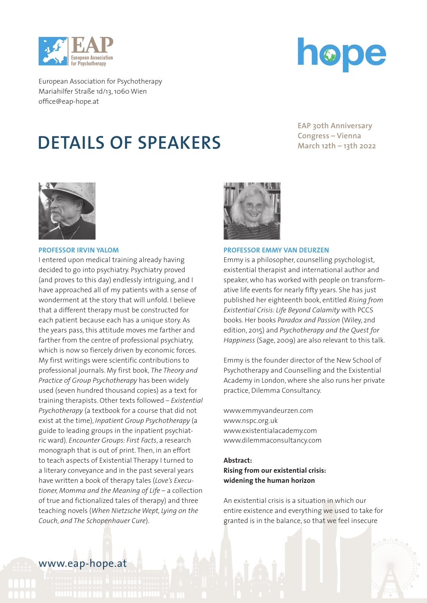



## **DETAILS OF SPEAKERS**

EAP 30th Anniversary **March 12th – 13th 2022 Congress – Vienna March 12th – 13th 2022**



#### **PROFESSOR IRVIN YALOM**

I entered upon medical training already having decided to go into psychiatry. Psychiatry proved (and proves to this day) endlessly intriguing, and I have approached all of my patients with a sense of wonderment at the story that will unfold. I believe that a different therapy must be constructed for each patient because each has a unique story. As the years pass, this attitude moves me farther and farther from the centre of professional psychiatry, which is now so fiercely driven by economic forces. My first writings were scientific contributions to professional journals. My first book, *The Theory and Practice of Group Psychotherapy* has been widely used (seven hundred thousand copies) as a text for training therapists. Other texts followed – *Existential Psychotherapy* (a textbook for a course that did not exist at the time), *Inpatient Group Psychotherapy* (a guide to leading groups in the inpatient psychiatric ward). *Encounter Groups: First Facts*, a research monograph that is out of print. Then, in an effort to teach aspects of Existential Therapy I turned to a literary conveyance and in the past several years have written a book of therapy tales (*Love's Executioner, Momma and the Meaning of Life* – a collection of true and fictionalized tales of therapy) and three teaching novels (*When Nietzsche Wept, Lying on the Couch, and The Schopenhauer Cure*).



#### **PROFESSOR EMMY VAN DEURZEN**

Emmy is a philosopher, counselling psychologist, existential therapist and international author and speaker, who has worked with people on transformative life events for nearly fifty years. She has just published her eighteenth book, entitled *Rising from Existential Crisis: Life Beyond Calamity* with PCCS books. Her books *Paradox and Passion* (Wiley, 2nd edition, 2015) and *Psychotherapy and the Quest for Happiness* (Sage, 2009) are also relevant to this talk.

Emmy is the founder director of the New School of Psychotherapy and Counselling and the Existential Academy in London, where she also runs her private practice, Dilemma Consultancy.

www.emmyvandeurzen.com www.nspc.org.uk www.existentialacademy.com www.dilemmaconsultancy.com

### **Abstract: Rising from our existential crisis: widening the human horizon**

An existential crisis is a situation in which our entire existence and everything we used to take for granted is in the balance, so that we feel insecure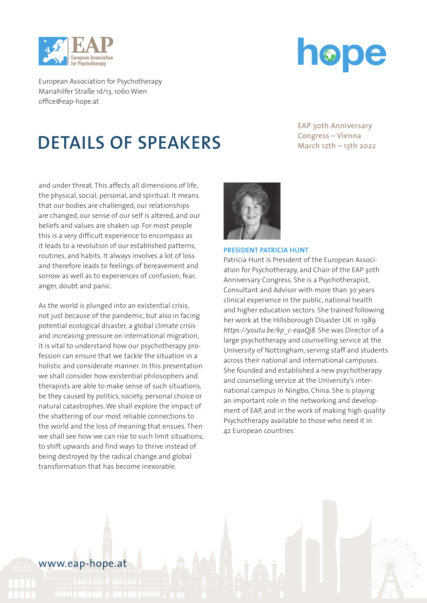



# **DETAILS OF SPEAKERS**

EAP 30th Anniversary **March 12th – 13th 2022 Congress – Vienna March 12th – 13th 2022**

and under threat. This affects all dimensions of life, the physical, social, personal, and spiritual. It means that our bodies are challenged, our relationships are changed, our sense of our self is altered, and our beliefs and values are shaken up. For most people this is a very difficult experience to encompass as it leads to a revolution of our established patterns, routines, and habits. It always involves a lot of loss and therefore leads to feelings of bereavement and sorrow as well as to experiences of confusion, fear, anger, doubt and panic.

As the world is plunged into an existential crisis, not just because of the pandemic, but also in facing potential ecological disaster, a global climate crisis and increasing pressure on international migration, it is vital to understand how our psychotherapy profession can ensure that we tackle the situation in a holistic and considerate manner. In this presentation we shall consider how existential philosophers and therapists are able to make sense of such situations, be they caused by politics, society, personal choice or natural catastrophes. We shall explore the impact of the shattering of our most reliable connections to the world and the loss of meaning that ensues. Then we shall see how we can rise to such limit situations, to shift upwards and find ways to thrive instead of being destroyed by the radical change and global transformation that has become inexorable.



#### **PRESIDENT PATRICIA HUNT**

Patricia Hunt is President of the European Association for Psychotherapy, and Chair of the EAP 30th Anniversary Congress. She is a Psychotherapist, Consultant and Advisor with more than 30 years clinical experience in the public, national health and higher education sectors. She trained following her work at the Hillsborough Disaster UK in 1989 *https://youtu.be/kp\_c-eqaQj8*. She was Director of a large psychotherapy and counselling service at the University of Nottingham, serving staff and students across their national and international campuses. She founded and established a new psychotherapy and counselling service at the University's international campus in Ningbo, China. She is playing an important role in the networking and development of EAP, and in the work of making high quality Psychotherapy available to those who need it in 42 European countries.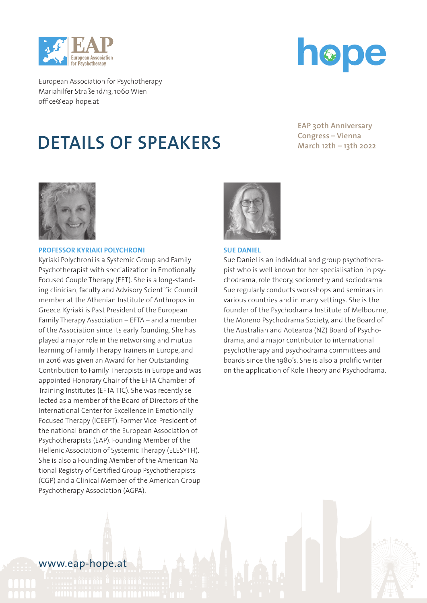



## **DETAILS OF SPEAKERS**

EAP 30th Anniversary **March 12th – 13th 2022 Congress – Vienna March 12th – 13th 2022**



#### **PROFESSOR KYRIAKI POLYCHRONI**

Kyriaki Polychroni is a Systemic Group and Family Psychotherapist with specialization in Emotionally Focused Couple Therapy (EFT). She is a long-standing clinician, faculty and Advisory Scientific Council member at the Athenian Institute of Anthropos in Greece. Kyriaki is Past President of the European Family Therapy Association – EFTA – and a member of the Association since its early founding. She has played a major role in the networking and mutual learning of Family Therapy Trainers in Europe, and in 2016 was given an Award for her Outstanding Contribution to Family Therapists in Europe and was appointed Honorary Chair of the EFTA Chamber of Training Institutes (EFTA-TIC). She was recently selected as a member of the Board of Directors of the International Center for Excellence in Emotionally Focused Therapy (ICEEFT). Former Vice-President of the national branch of the European Association of Psychotherapists (EAP). Founding Member of the Hellenic Association of Systemic Therapy (ELESYTH). She is also a Founding Member of the American National Registry of Certified Group Psychotherapists (CGP) and a Clinical Member of the American Group Psychotherapy Association (AGPA).



#### **SUE DANIEL**

Sue Daniel is an individual and group psychotherapist who is well known for her specialisation in psychodrama, role theory, sociometry and sociodrama. Sue regularly conducts workshops and seminars in various countries and in many settings. She is the founder of the Psychodrama Institute of Melbourne, the Moreno Psychodrama Society, and the Board of the Australian and Aotearoa (NZ) Board of Psychodrama, and a major contributor to international psychotherapy and psychodrama committees and boards since the 1980's. She is also a prolific writer on the application of Role Theory and Psychodrama.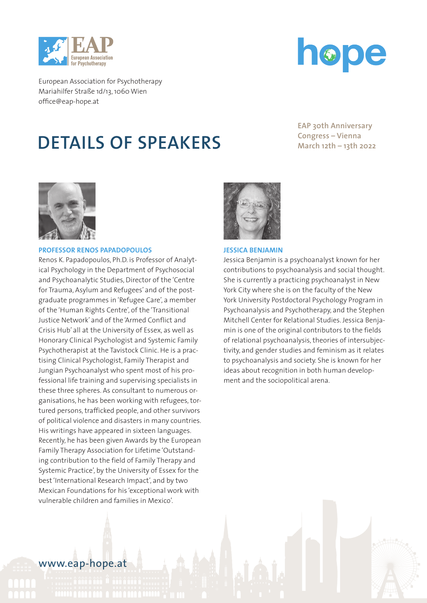



## **DETAILS OF SPEAKERS**

EAP 30th Anniversary **March 12th – 13th 2022 Congress – Vienna March 12th – 13th 2022**



### **PROFESSOR RENOS PAPADOPOULOS**

Renos K. Papadopoulos, Ph.D. is Professor of Analytical Psychology in the Department of Psychosocial and Psychoanalytic Studies, Director of the 'Centre for Trauma, Asylum and Refugees' and of the postgraduate programmes in 'Refugee Care', a member of the 'Human Rights Centre', of the 'Transitional Justice Network' and of the 'Armed Conflict and Crisis Hub' all at the University of Essex, as well as Honorary Clinical Psychologist and Systemic Family Psychotherapist at the Tavistock Clinic. He is a practising Clinical Psychologist, Family Therapist and Jungian Psychoanalyst who spent most of his professional life training and supervising specialists in these three spheres. As consultant to numerous organisations, he has been working with refugees, tortured persons, trafficked people, and other survivors of political violence and disasters in many countries. His writings have appeared in sixteen languages. Recently, he has been given Awards by the European Family Therapy Association for Lifetime 'Outstanding contribution to the field of Family Therapy and Systemic Practice', by the University of Essex for the best 'International Research Impact', and by two Mexican Foundations for his 'exceptional work with vulnerable children and families in Mexico'.



#### **JESSICA BENJAMIN**

Jessica Benjamin is a psychoanalyst known for her contributions to psychoanalysis and social thought. She is currently a practicing psychoanalyst in New York City where she is on the faculty of the New York University Postdoctoral Psychology Program in Psychoanalysis and Psychotherapy, and the Stephen Mitchell Center for Relational Studies. Jessica Benjamin is one of the original contributors to the fields of relational psychoanalysis, theories of intersubjectivity, and gender studies and feminism as it relates to psychoanalysis and society. She is known for her ideas about recognition in both human development and the sociopolitical arena.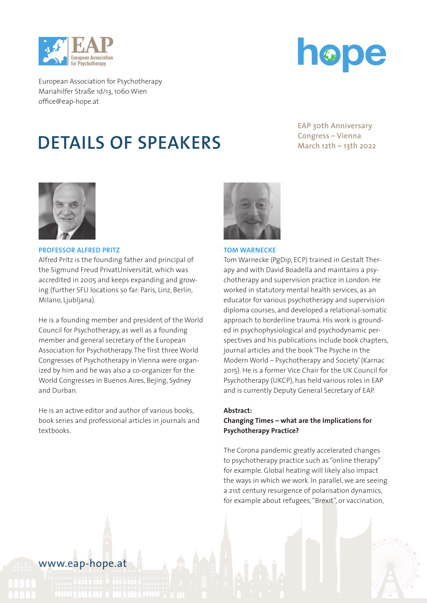



# **DETAILS OF SPEAKERS**

EAP 30th Anniversary **March 12th – 13th 2022 Congress – Vienna March 12th – 13th 2022**



### **PROFESSOR ALFRED PRITZ**

Alfred Pritz is the founding father and principal of the Sigmund Freud PrivatUniversität, which was accredited in 2005 and keeps expanding and growing (further SFU locations so far: Paris, Linz, Berlin, Milano, Ljubljana).

He is a founding member and president of the World Council for Psychotherapy, as well as a founding member and general secretary of the European Association for Psychotherapy. The first three World Congresses of Psychotherapy in Vienna were organized by him and he was also a co-organizer for the World Congresses in Buenos Aires, Bejing, Sydney and Durban.

He is an active editor and author of various books, book series and professional articles in journals and textbooks.



#### **TOM WARNECKE**

Tom Warnecke (PgDip, ECP) trained in Gestalt Therapy and with David Boadella and maintains a psychotherapy and supervision practice in London. He worked in statutory mental health services, as an educator for various psychotherapy and supervision diploma courses, and developed a relational-somatic approach to borderline trauma. His work is grounded in psychophysiological and psychodynamic perspectives and his publications include book chapters, journal articles and the book 'The Psyche in the Modern World – Psychotherapy and Society' (Karnac 2015). He is a former Vice Chair for the UK Council for Psychotherapy (UKCP), has held various roles in EAP and is currently Deputy General Secretary of EAP.

## **Abstract:**

### **Changing Times – what are the Implications for Psychotherapy Practice?**

The Corona pandemic greatly accelerated changes to psychotherapy practice such as "online therapy" for example. Global heating will likely also impact the ways in which we work. In parallel, we are seeing a 21st century resurgence of polarisation dynamics, for example about refugees, "Brexit", or vaccination,